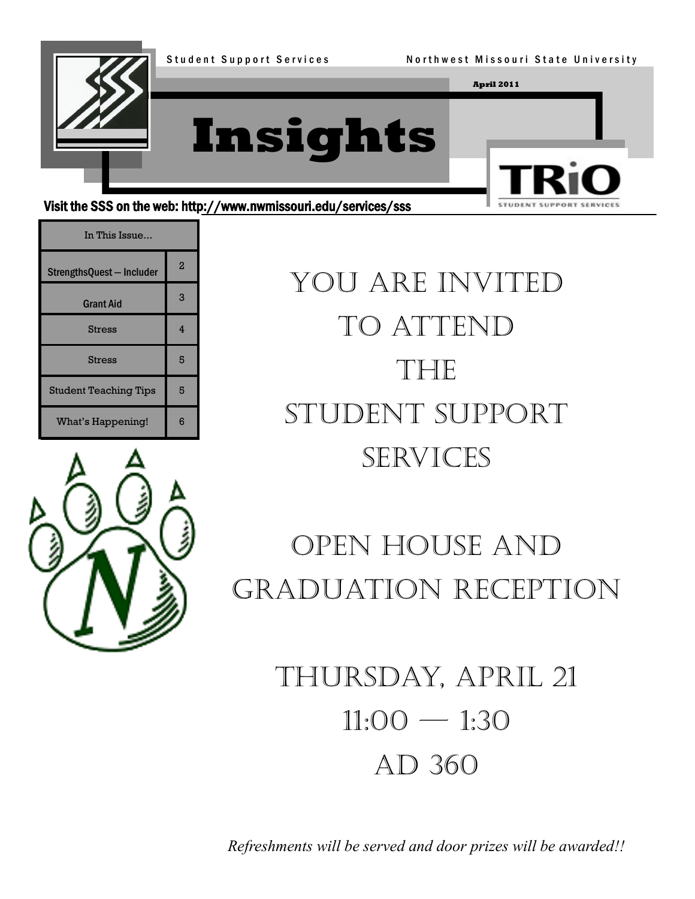

Visit the SSS on the web: http://www.nwmissouri.edu/services/sss

| In This Issue                |                |
|------------------------------|----------------|
| StrengthsQuest - Includer    | $\overline{2}$ |
| <b>Grant Aid</b>             | 3              |
| <b>Stress</b>                | 4              |
| <b>Stress</b>                | 5              |
| <b>Student Teaching Tips</b> | 5              |
| What's Happening!            | ิค             |



You are invited to attend THE Student Support **SERVICES** 

STUDENT

# Open House And Graduation Reception

Thursday, April 21  $11:00 - 1:30$ AD 360

*Refreshments will be served and door prizes will be awarded!!*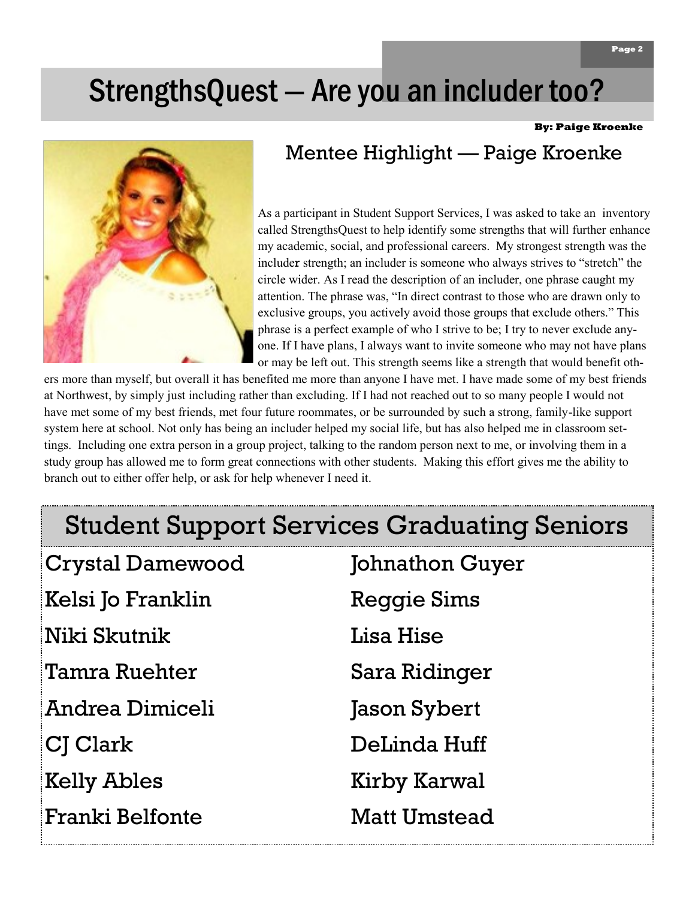# StrengthsQuest — Are you an includer too?

**By: Paige Kroenke**



# Mentee Highlight — Paige Kroenke

As a participant in Student Support Services, I was asked to take an inventory called StrengthsQuest to help identify some strengths that will further enhance my academic, social, and professional careers. My strongest strength was the includer strength; an includer is someone who always strives to "stretch" the circle wider. As I read the description of an includer, one phrase caught my attention. The phrase was, "In direct contrast to those who are drawn only to exclusive groups, you actively avoid those groups that exclude others." This phrase is a perfect example of who I strive to be; I try to never exclude anyone. If I have plans, I always want to invite someone who may not have plans or may be left out. This strength seems like a strength that would benefit oth-

ers more than myself, but overall it has benefited me more than anyone I have met. I have made some of my best friends at Northwest, by simply just including rather than excluding. If I had not reached out to so many people I would not have met some of my best friends, met four future roommates, or be surrounded by such a strong, family-like support system here at school. Not only has being an includer helped my social life, but has also helped me in classroom settings. Including one extra person in a group project, talking to the random person next to me, or involving them in a study group has allowed me to form great connections with other students. Making this effort gives me the ability to branch out to either offer help, or ask for help whenever I need it.

# Student Support Services Graduating Seniors

| <b>Crystal Damewood</b> | Johnathon Guyer     |
|-------------------------|---------------------|
| Kelsi Jo Franklin       | <b>Reggie Sims</b>  |
| Niki Skutnik            | Lisa Hise           |
| Tamra Ruehter           | Sara Ridinger       |
| Andrea Dimiceli         | Jason Sybert        |
| CJ Clark                | DeLinda Huff        |
| <b>Kelly Ables</b>      | Kirby Karwal        |
| Franki Belfonte         | <b>Matt Umstead</b> |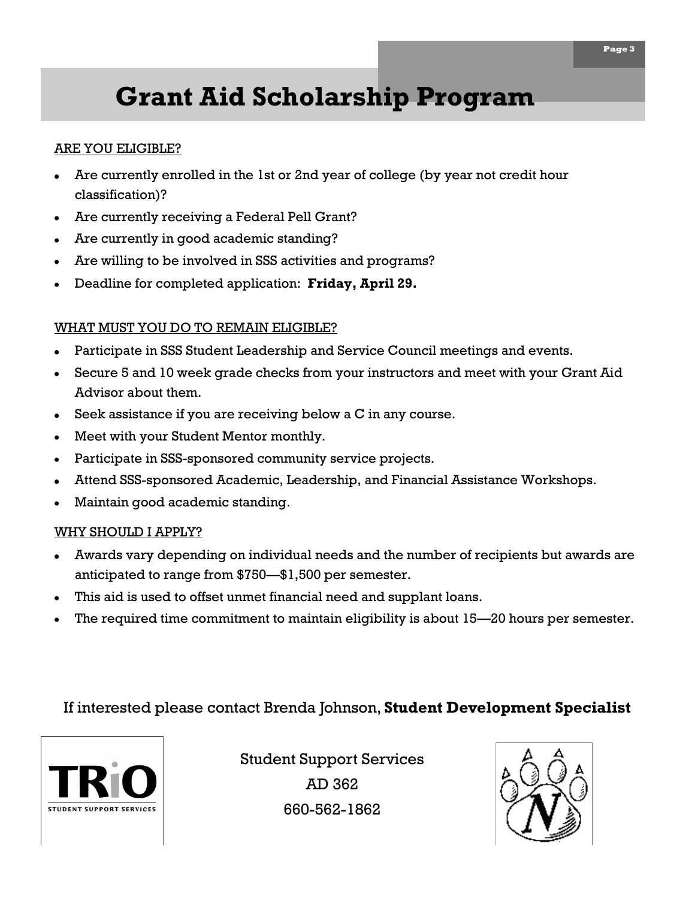# **Grant Aid Scholarship Program**

### ARE YOU ELIGIBLE?

- Are currently enrolled in the 1st or 2nd year of college (by year not credit hour classification)?
- Are currently receiving a Federal Pell Grant?
- Are currently in good academic standing?
- Are willing to be involved in SSS activities and programs?
- Deadline for completed application: **Friday, April 29.**

### WHAT MUST YOU DO TO REMAIN ELIGIBLE?

- Participate in SSS Student Leadership and Service Council meetings and events.
- Secure 5 and 10 week grade checks from your instructors and meet with your Grant Aid Advisor about them.
- Seek assistance if you are receiving below a C in any course.
- Meet with your Student Mentor monthly.
- Participate in SSS-sponsored community service projects.
- Attend SSS-sponsored Academic, Leadership, and Financial Assistance Workshops.
- Maintain good academic standing.

### WHY SHOULD I APPLY?

- Awards vary depending on individual needs and the number of recipients but awards are anticipated to range from \$750—\$1,500 per semester.
- This aid is used to offset unmet financial need and supplant loans.
- The required time commitment to maintain eligibility is about 15—20 hours per semester.

### If interested please contact Brenda Johnson, **Student Development Specialist**



Student Support Services AD 362 660-562-1862

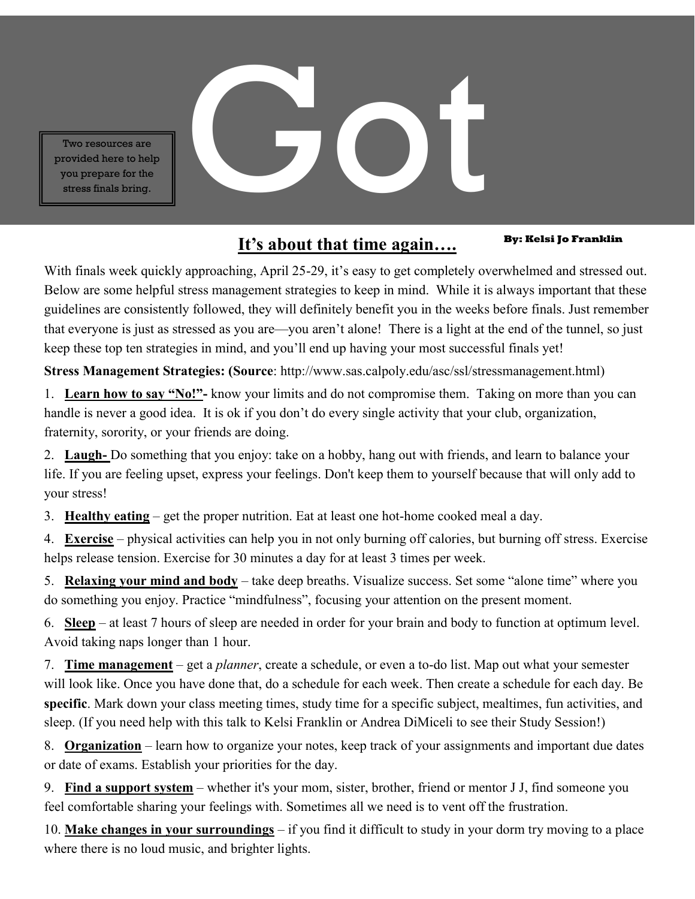Two resources are<br>provided here to help<br>you prepare for the<br>stress finals bring. provided here to help you prepare for the stress finals bring.

## **By: Kelsi Jo Franklin It's about that time again….**

With finals week quickly approaching, April 25-29, it's easy to get completely overwhelmed and stressed out. Below are some helpful stress management strategies to keep in mind. While it is always important that these guidelines are consistently followed, they will definitely benefit you in the weeks before finals. Just remember that everyone is just as stressed as you are—you aren't alone! There is a light at the end of the tunnel, so just keep these top ten strategies in mind, and you'll end up having your most successful finals yet!

**Stress Management Strategies: (Source**: http://www.sas.calpoly.edu/asc/ssl/stressmanagement.html)

1. **Learn how to say "No!"-** know your limits and do not compromise them. Taking on more than you can handle is never a good idea. It is ok if you don't do every single activity that your club, organization, fraternity, sorority, or your friends are doing.

2. **Laugh-** Do something that you enjoy: take on a hobby, hang out with friends, and learn to balance your life. If you are feeling upset, express your feelings. Don't keep them to yourself because that will only add to your stress!

3. **Healthy eating** – get the proper nutrition. Eat at least one hot-home cooked meal a day.

4. **Exercise** – physical activities can help you in not only burning off calories, but burning off stress. Exercise helps release tension. Exercise for 30 minutes a day for at least 3 times per week.

5. **Relaxing your mind and body** – take deep breaths. Visualize success. Set some "alone time" where you do something you enjoy. Practice "mindfulness", focusing your attention on the present moment.

6. **Sleep** – at least 7 hours of sleep are needed in order for your brain and body to function at optimum level. Avoid taking naps longer than 1 hour.

7. **Time management** – get a *planner*, create a schedule, or even a to-do list. Map out what your semester will look like. Once you have done that, do a schedule for each week. Then create a schedule for each day. Be **specific**. Mark down your class meeting times, study time for a specific subject, mealtimes, fun activities, and sleep. (If you need help with this talk to Kelsi Franklin or Andrea DiMiceli to see their Study Session!)

8. **Organization** – learn how to organize your notes, keep track of your assignments and important due dates or date of exams. Establish your priorities for the day.

9. **Find a support system** – whether it's your mom, sister, brother, friend or mentor J J, find someone you feel comfortable sharing your feelings with. Sometimes all we need is to vent off the frustration.

10. **Make changes in your surroundings** – if you find it difficult to study in your dorm try moving to a place where there is no loud music, and brighter lights.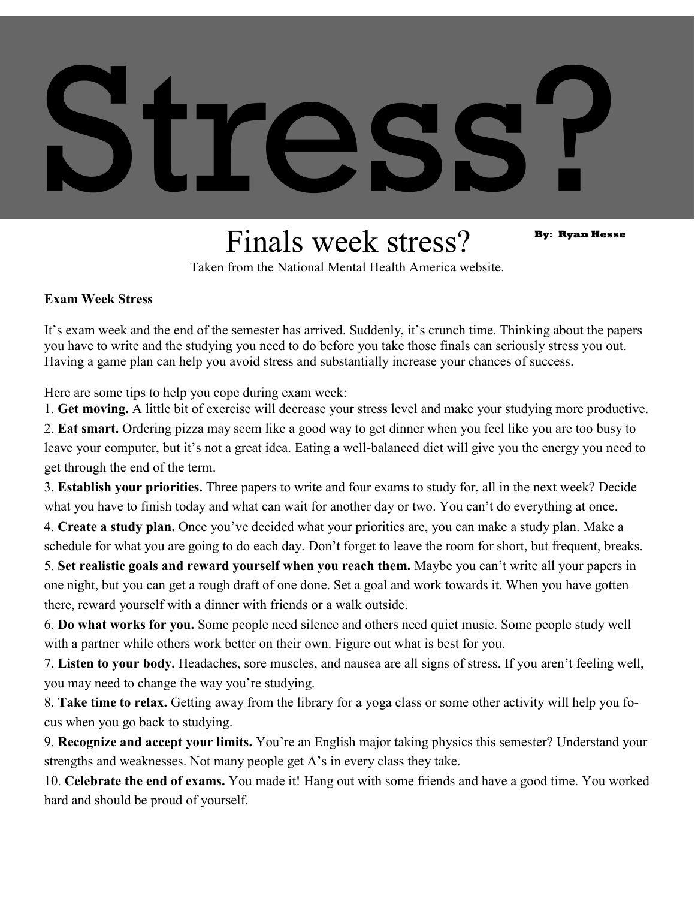# Stress?

# Finals week stress? By: Ryan Hesse

Taken from the National Mental Health America website.

### **Exam Week Stress**

It's exam week and the end of the semester has arrived. Suddenly, it's crunch time. Thinking about the papers you have to write and the studying you need to do before you take those finals can seriously stress you out. Having a game plan can help you avoid stress and substantially increase your chances of success.

Here are some tips to help you cope during exam week:

1. **Get moving.** A little bit of exercise will decrease your stress level and make your studying more productive.

2. **Eat smart.** Ordering pizza may seem like a good way to get dinner when you feel like you are too busy to leave your computer, but it's not a great idea. Eating a well-balanced diet will give you the energy you need to get through the end of the term.

3. **Establish your priorities.** Three papers to write and four exams to study for, all in the next week? Decide what you have to finish today and what can wait for another day or two. You can't do everything at once.

4. **Create a study plan.** Once you've decided what your priorities are, you can make a study plan. Make a schedule for what you are going to do each day. Don't forget to leave the room for short, but frequent, breaks.

5. **Set realistic goals and reward yourself when you reach them.** Maybe you can't write all your papers in one night, but you can get a rough draft of one done. Set a goal and work towards it. When you have gotten there, reward yourself with a dinner with friends or a walk outside.

6. **Do what works for you.** Some people need silence and others need quiet music. Some people study well with a partner while others work better on their own. Figure out what is best for you.

7. **Listen to your body.** Headaches, sore muscles, and nausea are all signs of stress. If you aren't feeling well, you may need to change the way you're studying.

8. **Take time to relax.** Getting away from the library for a yoga class or some other activity will help you focus when you go back to studying.

9. **Recognize and accept your limits.** You're an English major taking physics this semester? Understand your strengths and weaknesses. Not many people get A's in every class they take.

10. **Celebrate the end of exams.** You made it! Hang out with some friends and have a good time. You worked hard and should be proud of yourself.